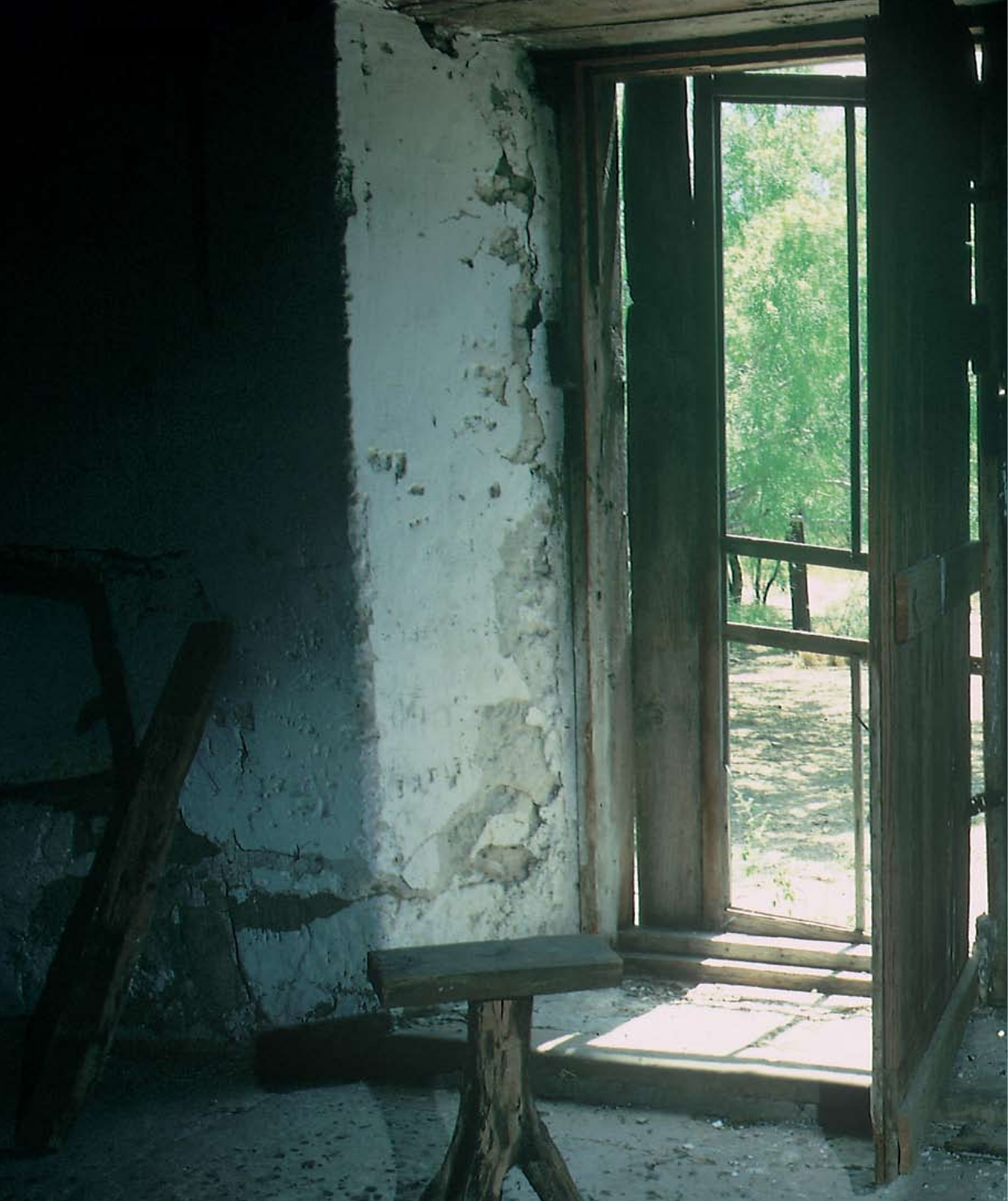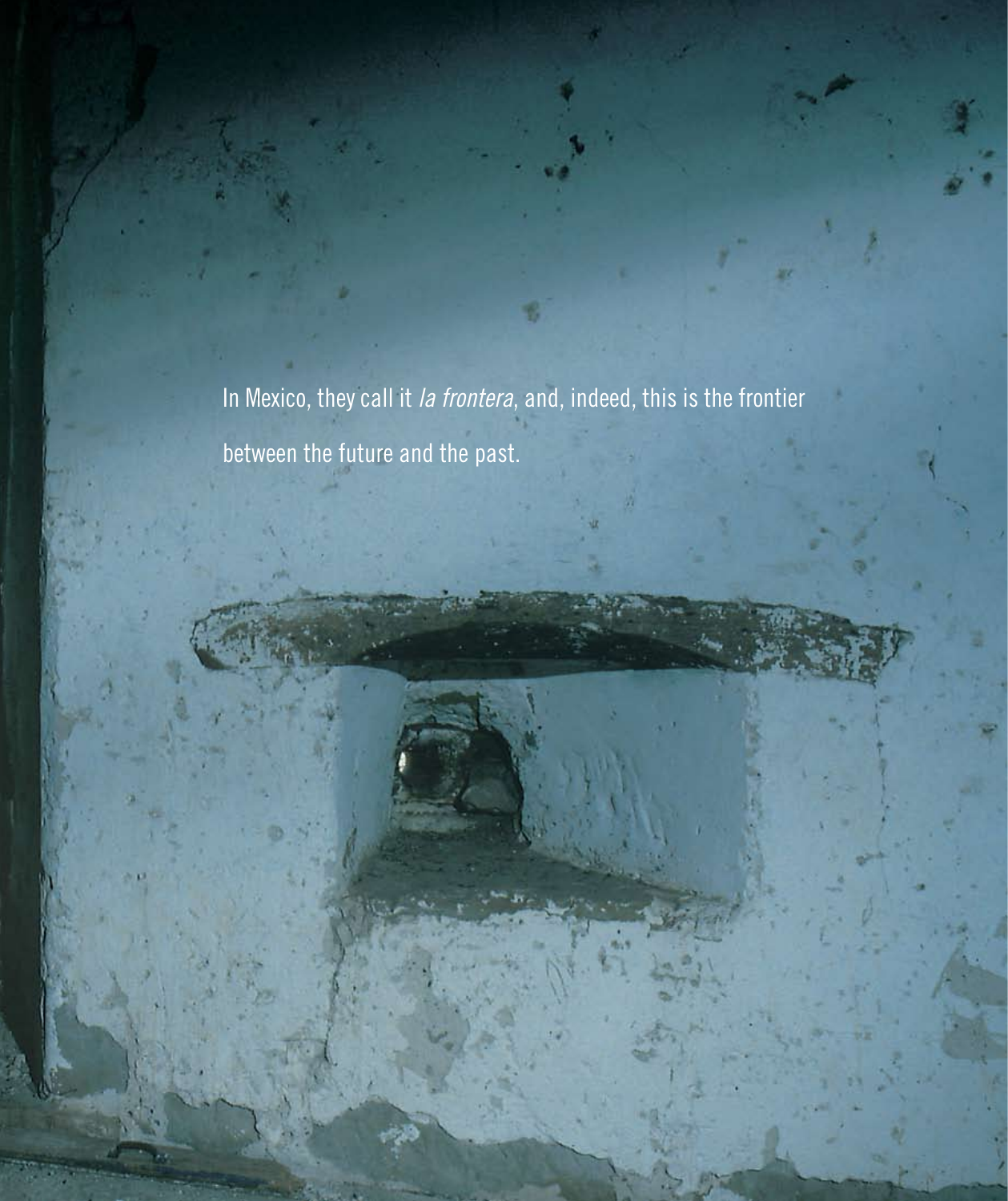In Mexico, they call it *la frontera*, and, indeed, this is the frontier between the future and the past.

3 / 4 2 0 0 0 **t e x a s a r c h i t e c t**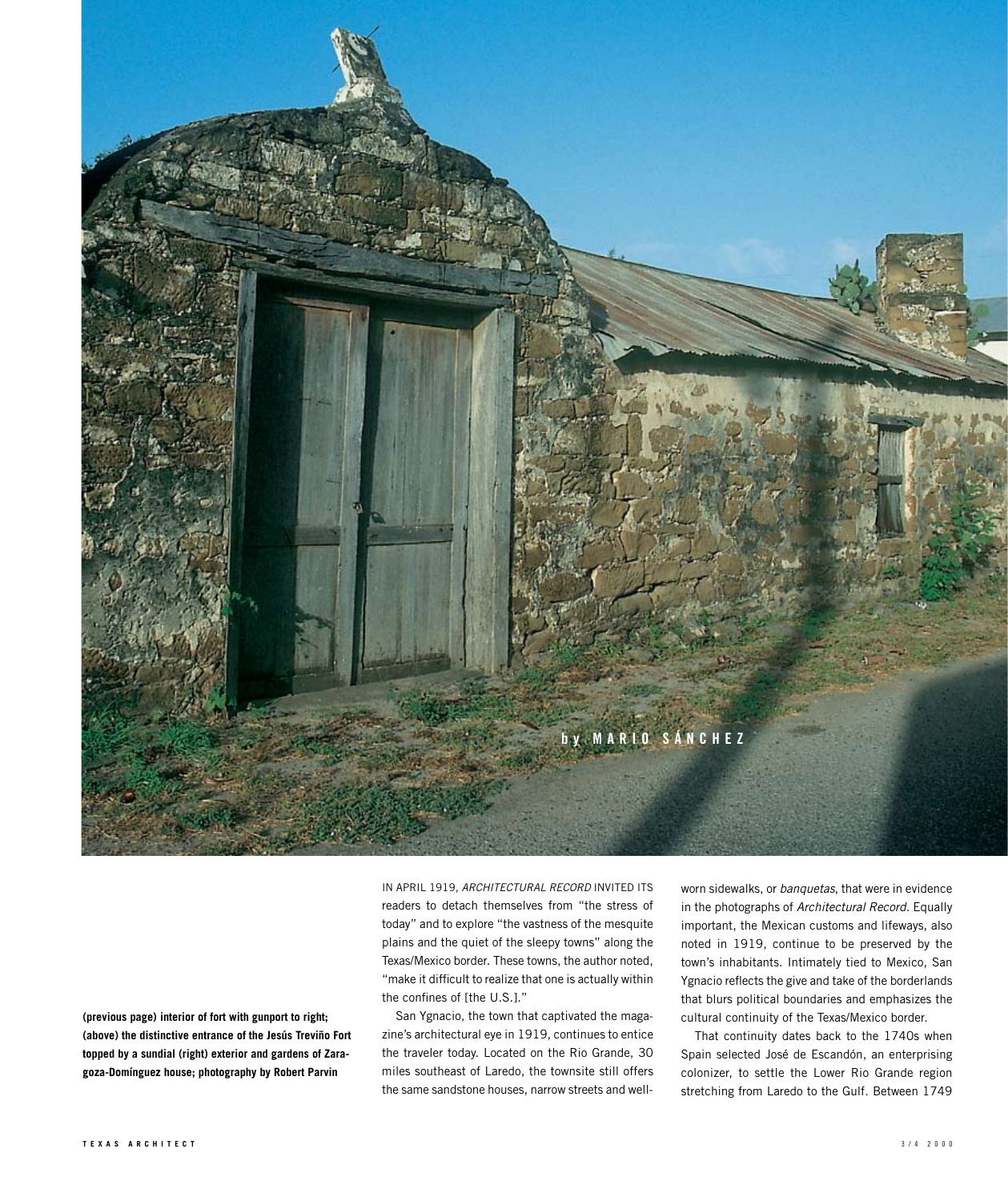

today" and to explore "the vastness of the mesquite plains and the quiet of the sleepy towns" along the Texas/Mexico border. These towns, the author noted, "make it difficult to realize that one is actually within the confines of [the U.S.]." San Ygnacio, the town that captivated the maga-

zine's architectural eye in 1919, continues to entice the traveler today. Located on the Rio Grande, 30 miles southeast of Laredo, the townsite still offers the same sandstone houses, narrow streets and well-

readers to detach themselves from "the stress of

worn sidewalks, or *banquetas*, that were in evidence in the photographs of *Architectural Record.* Equally important, the Mexican customs and lifeways, also noted in 1919, continue to be preserved by the town's inhabitants. Intimately tied to Mexico, San Ygnacio reflects the give and take of the borderlands that blurs political boundaries and emphasizes the cultural continuity of the Texas/Mexico border.

That continuity dates back to the 1740s when Spain selected José de Escandón, an enterprising colonizer, to settle the Lower Rio Grande region stretching from Laredo to the Gulf. Between 1749

**(previous page) interior of fort with gunport to right; (above) the distinctive entrance of the Jesús Treviño Fort topped by a sundial (right) exterior and gardens of Zaragoza-Domínguez house; photography by Robert Parvin**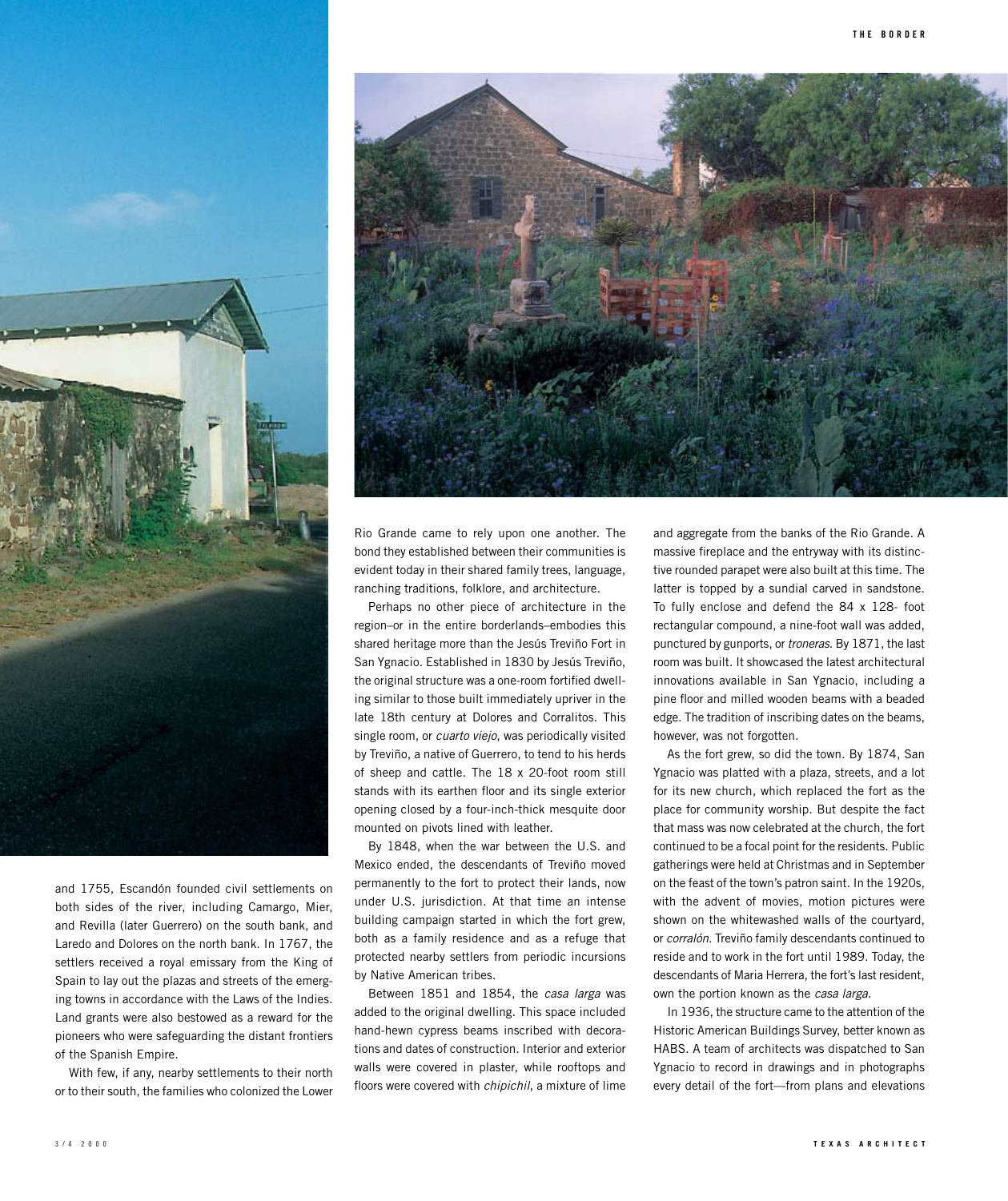

and 1755, Escandón founded civil settlements on both sides of the river, including Camargo, Mier, and Revilla (later Guerrero) on the south bank, and Laredo and Dolores on the north bank. In 1767, the settlers received a royal emissary from the King of Spain to lay out the plazas and streets of the emerging towns in accordance with the Laws of the Indies. Land grants were also bestowed as a reward for the pioneers who were safeguarding the distant frontiers of the Spanish Empire.

With few, if any, nearby settlements to their north or to their south, the families who colonized the Lower



Rio Grande came to rely upon one another. The bond they established between their communities is evident today in their shared family trees, language, ranching traditions, folklore, and architecture.

Perhaps no other piece of architecture in the region–or in the entire borderlands–embodies this shared heritage more than the Jesús Treviño Fort in San Ygnacio. Established in 1830 by Jesús Treviño, the original structure was a one-room fortified dwelling similar to those built immediately upriver in the late 18th century at Dolores and Corralitos. This single room, or *cuarto viejo*, was periodically visited by Treviño, a native of Guerrero, to tend to his herds of sheep and cattle. The 18 x 20-foot room still stands with its earthen floor and its single exterior opening closed by a four-inch-thick mesquite door mounted on pivots lined with leather.

By 1848, when the war between the U.S. and Mexico ended, the descendants of Treviño moved permanently to the fort to protect their lands, now under U.S. jurisdiction. At that time an intense building campaign started in which the fort grew, both as a family residence and as a refuge that protected nearby settlers from periodic incursions by Native American tribes.

Between 1851 and 1854, the *casa larga* was added to the original dwelling. This space included hand-hewn cypress beams inscribed with decorations and dates of construction. Interior and exterior walls were covered in plaster, while rooftops and floors were covered with *chipichil*, a mixture of lime

and aggregate from the banks of the Rio Grande. A massive fireplace and the entryway with its distinctive rounded parapet were also built at this time. The latter is topped by a sundial carved in sandstone. To fully enclose and defend the 84 x 128- foot rectangular compound, a nine-foot wall was added, punctured by gunports, or *troneras*. By 1871, the last room was built. It showcased the latest architectural innovations available in San Ygnacio, including a pine floor and milled wooden beams with a beaded edge. The tradition of inscribing dates on the beams, however, was not forgotten.

As the fort grew, so did the town. By 1874, San Ygnacio was platted with a plaza, streets, and a lot for its new church, which replaced the fort as the place for community worship. But despite the fact that mass was now celebrated at the church, the fort continued to be a focal point for the residents. Public gatherings were held at Christmas and in September on the feast of the town's patron saint. In the 1920s, with the advent of movies, motion pictures were shown on the whitewashed walls of the courtyard, or *corralón*. Treviño family descendants continued to reside and to work in the fort until 1989. Today, the descendants of Maria Herrera, the fort's last resident, own the portion known as the *casa larga*.

In 1936, the structure came to the attention of the Historic American Buildings Survey, better known as HABS. A team of architects was dispatched to San Ygnacio to record in drawings and in photographs every detail of the fort—from plans and elevations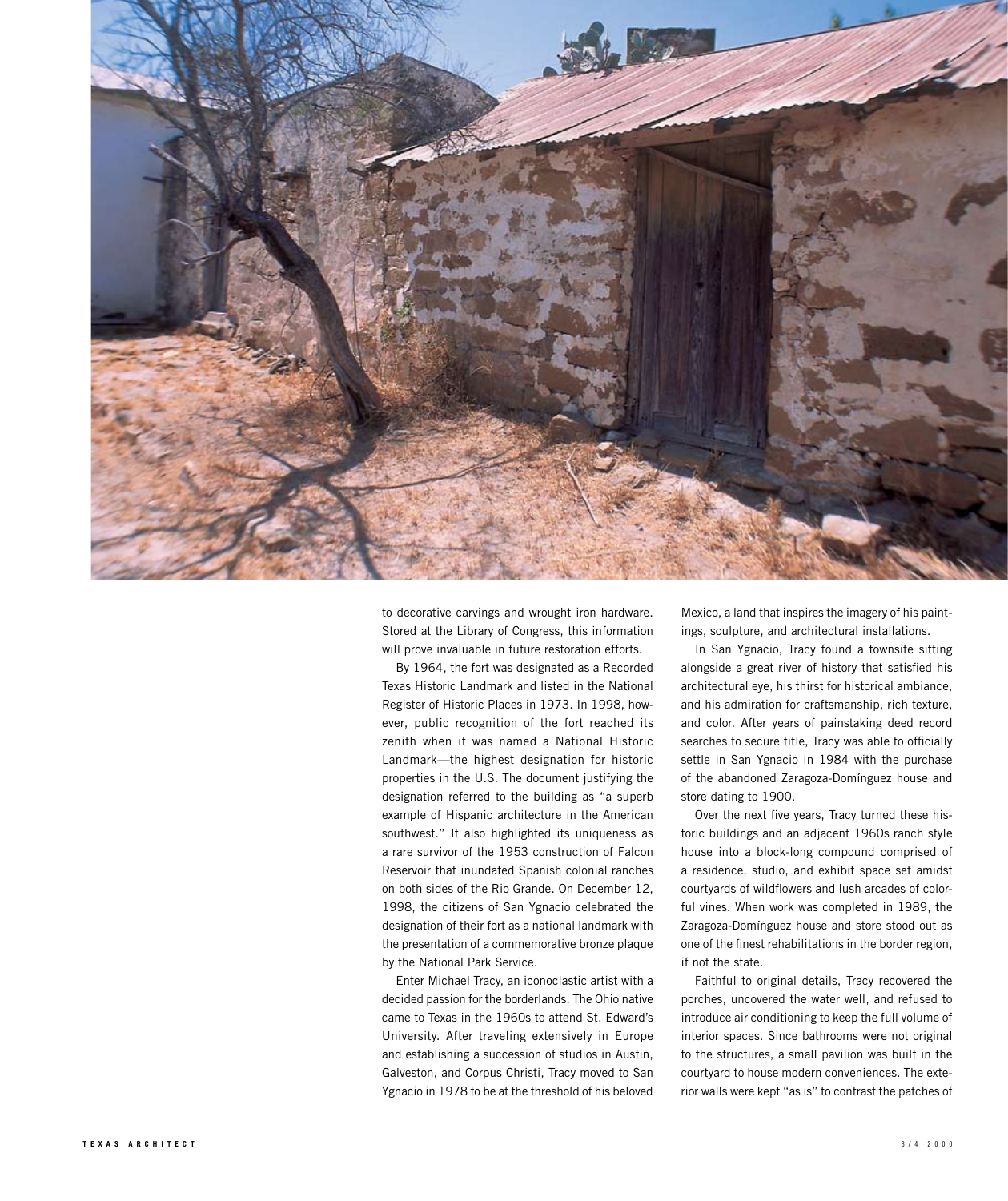

to decorative carvings and wrought iron hardware. Stored at the Library of Congress, this information will prove invaluable in future restoration efforts.

By 1964, the fort was designated as a Recorded Texas Historic Landmark and listed in the National Register of Historic Places in 1973. In 1998, however, public recognition of the fort reached its zenith when it was named a National Historic Landmark—the highest designation for historic properties in the U.S. The document justifying the designation referred to the building as "a superb example of Hispanic architecture in the American southwest." It also highlighted its uniqueness as a rare survivor of the 1953 construction of Falcon Reservoir that inundated Spanish colonial ranches on both sides of the Rio Grande. On December 12, 1998, the citizens of San Ygnacio celebrated the designation of their fort as a national landmark with the presentation of a commemorative bronze plaque by the National Park Service.

Enter Michael Tracy, an iconoclastic artist with a decided passion for the borderlands. The Ohio native came to Texas in the 1960s to attend St. Edward's University. After traveling extensively in Europe and establishing a succession of studios in Austin, Galveston, and Corpus Christi, Tracy moved to San Ygnacio in 1978 to be at the threshold of his beloved Mexico, a land that inspires the imagery of his paintings, sculpture, and architectural installations.

In San Ygnacio, Tracy found a townsite sitting alongside a great river of history that satisfied his architectural eye, his thirst for historical ambiance, and his admiration for craftsmanship, rich texture, and color. After years of painstaking deed record searches to secure title, Tracy was able to officially settle in San Ygnacio in 1984 with the purchase of the abandoned Zaragoza-Domínguez house and store dating to 1900.

Over the next five years, Tracy turned these historic buildings and an adjacent 1960s ranch style house into a block-long compound comprised of a residence, studio, and exhibit space set amidst courtyards of wildflowers and lush arcades of colorful vines. When work was completed in 1989, the Zaragoza-Domínguez house and store stood out as one of the finest rehabilitations in the border region, if not the state.

Faithful to original details, Tracy recovered the porches, uncovered the water well, and refused to introduce air conditioning to keep the full volume of interior spaces. Since bathrooms were not original to the structures, a small pavilion was built in the courtyard to house modern conveniences. The exterior walls were kept "as is" to contrast the patches of